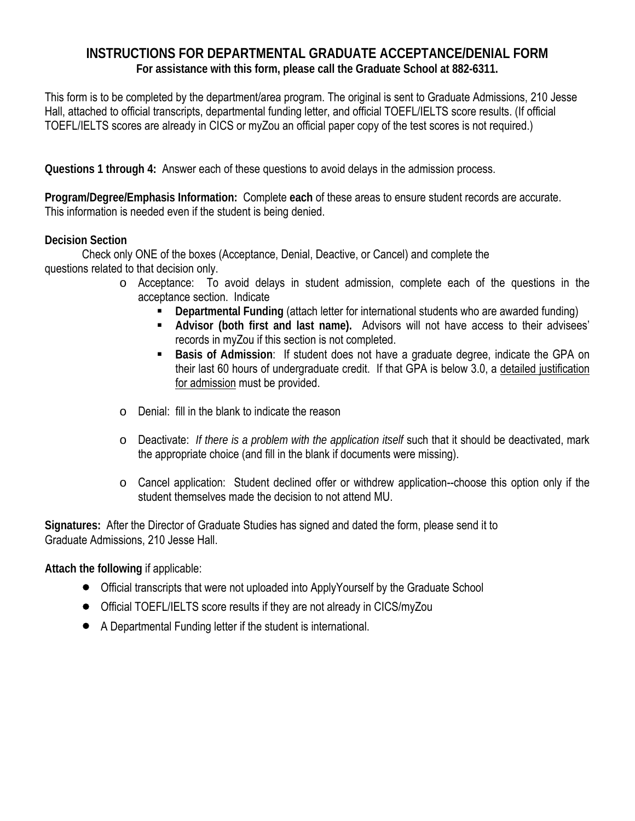## **INSTRUCTIONS FOR DEPARTMENTAL GRADUATE ACCEPTANCE/DENIAL FORM For assistance with this form, please call the Graduate School at 882-6311.**

This form is to be completed by the department/area program. The original is sent to Graduate Admissions, 210 Jesse Hall, attached to official transcripts, departmental funding letter, and official TOEFL/IELTS score results. (If official TOEFL/IELTS scores are already in CICS or myZou an official paper copy of the test scores is not required.)

**Questions 1 through 4:** Answer each of these questions to avoid delays in the admission process.

**Program/Degree/Emphasis Information:** Complete **each** of these areas to ensure student records are accurate. This information is needed even if the student is being denied.

## **Decision Section**

 Check only ONE of the boxes (Acceptance, Denial, Deactive, or Cancel) and complete the questions related to that decision only.

- o Acceptance: To avoid delays in student admission, complete each of the questions in the acceptance section. Indicate
	- **Departmental Funding** (attach letter for international students who are awarded funding)
	- **Advisor (both first and last name).** Advisors will not have access to their advisees' records in myZou if this section is not completed.
	- **Basis of Admission**: If student does not have a graduate degree, indicate the GPA on their last 60 hours of undergraduate credit. If that GPA is below 3.0, a detailed justification for admission must be provided.
- o Denial: fill in the blank to indicate the reason
- o Deactivate: *If there is a problem with the application itself* such that it should be deactivated, mark the appropriate choice (and fill in the blank if documents were missing).
- o Cancel application: Student declined offer or withdrew application--choose this option only if the student themselves made the decision to not attend MU.

**Signatures:** After the Director of Graduate Studies has signed and dated the form, please send it to Graduate Admissions, 210 Jesse Hall.

**Attach the following** if applicable:

- Official transcripts that were not uploaded into ApplyYourself by the Graduate School
- Official TOEFL/IELTS score results if they are not already in CICS/myZou
- A Departmental Funding letter if the student is international.